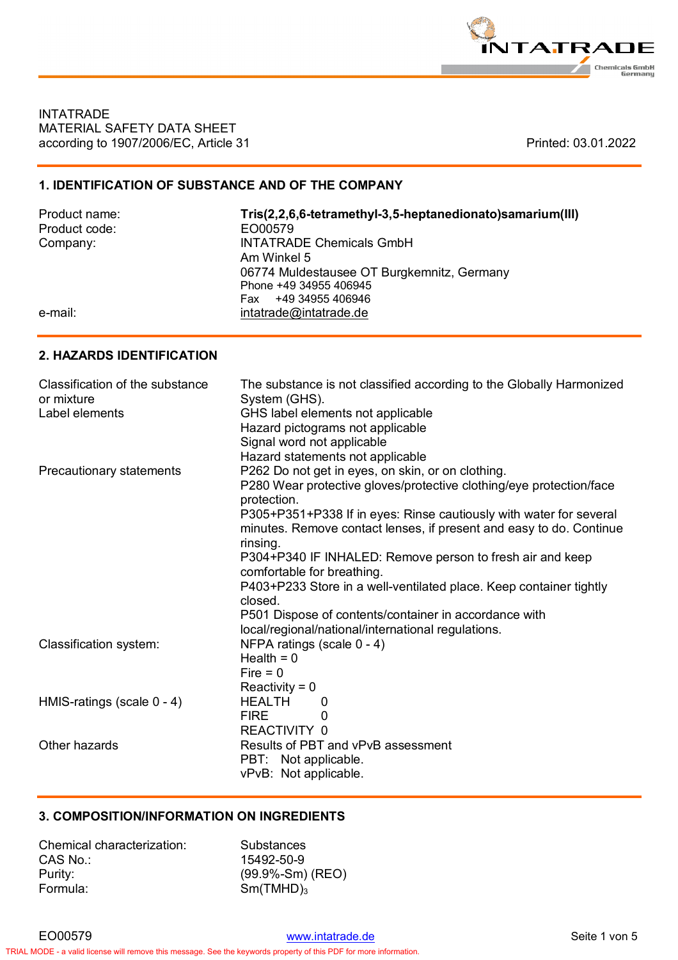

**INTATRADE** MATERIAL SAFETY DATA SHEET according to 1907/2006/EC, Article 31 **Printed: 03.01.2022** Printed: 03.01.2022

# **1. IDENTIFICATION OF SUBSTANCE AND OF THE COMPANY**

| Product name: | Tris(2,2,6,6-tetramethyl-3,5-heptanedionato)samarium(III) |
|---------------|-----------------------------------------------------------|
| Product code: | EO00579                                                   |
| Company:      | <b>INTATRADE Chemicals GmbH</b>                           |
|               | Am Winkel 5                                               |
|               | 06774 Muldestausee OT Burgkemnitz, Germany                |
|               | Phone +49 34955 406945                                    |
|               | +49 34955 406946<br>Fax                                   |
| e-mail:       | intatrade@intatrade.de                                    |

### **2. HAZARDS IDENTIFICATION**

| Classification of the substance<br>or mixture | The substance is not classified according to the Globally Harmonized<br>System (GHS).                                                     |
|-----------------------------------------------|-------------------------------------------------------------------------------------------------------------------------------------------|
| Label elements                                | GHS label elements not applicable                                                                                                         |
|                                               | Hazard pictograms not applicable                                                                                                          |
|                                               | Signal word not applicable                                                                                                                |
|                                               | Hazard statements not applicable                                                                                                          |
| Precautionary statements                      | P262 Do not get in eyes, on skin, or on clothing.                                                                                         |
|                                               | P280 Wear protective gloves/protective clothing/eye protection/face<br>protection.                                                        |
|                                               | P305+P351+P338 If in eyes: Rinse cautiously with water for several<br>minutes. Remove contact lenses, if present and easy to do. Continue |
|                                               | rinsing.                                                                                                                                  |
|                                               | P304+P340 IF INHALED: Remove person to fresh air and keep                                                                                 |
|                                               | comfortable for breathing.                                                                                                                |
|                                               | P403+P233 Store in a well-ventilated place. Keep container tightly                                                                        |
|                                               | closed.                                                                                                                                   |
|                                               | P501 Dispose of contents/container in accordance with                                                                                     |
|                                               | local/regional/national/international regulations.                                                                                        |
| Classification system:                        | NFPA ratings (scale 0 - 4)                                                                                                                |
|                                               | Health $= 0$                                                                                                                              |
|                                               | $Fire = 0$                                                                                                                                |
|                                               | $Reactivity = 0$                                                                                                                          |
| HMIS-ratings (scale 0 - 4)                    | <b>HEALTH</b><br>0                                                                                                                        |
|                                               | <b>FIRE</b><br>0                                                                                                                          |
|                                               | REACTIVITY 0                                                                                                                              |
| Other hazards                                 | Results of PBT and vPvB assessment                                                                                                        |
|                                               | PBT: Not applicable.                                                                                                                      |
|                                               | vPvB: Not applicable.                                                                                                                     |

#### **3. COMPOSITION/INFORMATION ON INGREDIENTS**

| Chemical characterization: | Substances           |
|----------------------------|----------------------|
| CAS No.:                   | 15492-50-9           |
| Purity:                    | $(99.9% - Sm)$ (REO) |
| Formula:                   | $Sm(TMHD)_3$         |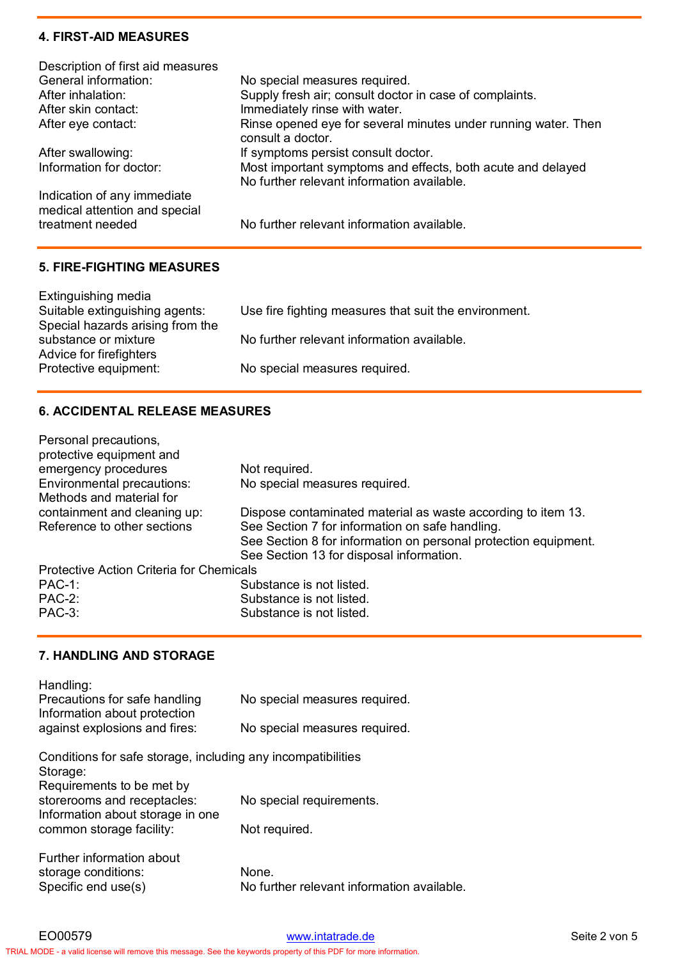### **4. FIRST-AID MEASURES**

| Description of first aid measures                            |                                                                                                           |
|--------------------------------------------------------------|-----------------------------------------------------------------------------------------------------------|
| General information:                                         | No special measures required.                                                                             |
| After inhalation:                                            | Supply fresh air; consult doctor in case of complaints.                                                   |
| After skin contact:                                          | Immediately rinse with water.                                                                             |
| After eye contact:                                           | Rinse opened eye for several minutes under running water. Then<br>consult a doctor.                       |
| After swallowing:                                            | If symptoms persist consult doctor.                                                                       |
| Information for doctor:                                      | Most important symptoms and effects, both acute and delayed<br>No further relevant information available. |
| Indication of any immediate<br>medical attention and special |                                                                                                           |
| treatment needed                                             | No further relevant information available.                                                                |
|                                                              |                                                                                                           |

### **5. FIRE-FIGHTING MEASURES**

| Extinguishing media<br>Suitable extinguishing agents:<br>Special hazards arising from the | Use fire fighting measures that suit the environment. |
|-------------------------------------------------------------------------------------------|-------------------------------------------------------|
| substance or mixture<br>Advice for firefighters                                           | No further relevant information available.            |
| Protective equipment:                                                                     | No special measures required.                         |

## **6. ACCIDENTAL RELEASE MEASURES**

| Personal precautions,<br>protective equipment and |                                                                 |
|---------------------------------------------------|-----------------------------------------------------------------|
| emergency procedures                              | Not required.                                                   |
| Environmental precautions:                        | No special measures required.                                   |
| Methods and material for                          |                                                                 |
| containment and cleaning up:                      | Dispose contaminated material as waste according to item 13.    |
| Reference to other sections                       | See Section 7 for information on safe handling.                 |
|                                                   | See Section 8 for information on personal protection equipment. |
|                                                   | See Section 13 for disposal information.                        |
| <b>Protective Action Criteria for Chemicals</b>   |                                                                 |
| $PAC-1$ :                                         | Substance is not listed.                                        |
| $PAC-2$ :                                         | Substance is not listed.                                        |
| <b>PAC-3:</b>                                     | Substance is not listed.                                        |

## **7. HANDLING AND STORAGE**

| Handling:<br>Precautions for safe handling                                                   | No special measures required.                       |
|----------------------------------------------------------------------------------------------|-----------------------------------------------------|
| Information about protection                                                                 |                                                     |
| against explosions and fires:                                                                | No special measures required.                       |
| Conditions for safe storage, including any incompatibilities<br>Storage:                     |                                                     |
| Requirements to be met by<br>storerooms and receptacles:<br>Information about storage in one | No special requirements.                            |
| common storage facility:                                                                     | Not required.                                       |
| Further information about<br>storage conditions:<br>Specific end use(s)                      | None.<br>No further relevant information available. |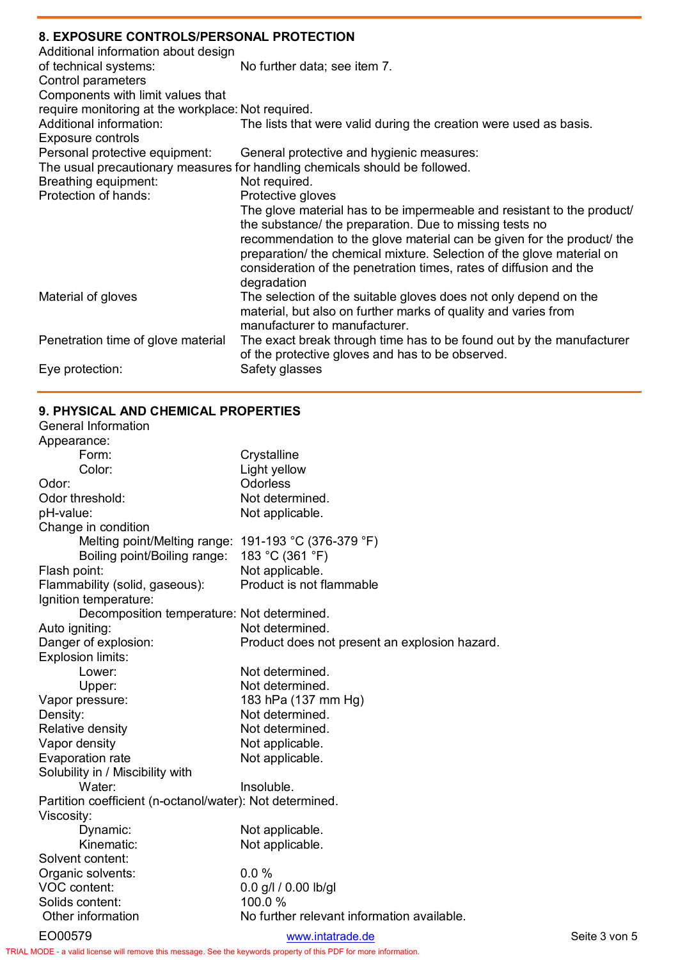# **8. EXPOSURE CONTROLS/PERSONAL PROTECTION**

| 0. EAT OUDINE GOINTINOEUIT ENJOHAET INOTEGTION     |                                                                             |
|----------------------------------------------------|-----------------------------------------------------------------------------|
| Additional information about design                |                                                                             |
| of technical systems:                              | No further data; see item 7.                                                |
| Control parameters                                 |                                                                             |
| Components with limit values that                  |                                                                             |
| require monitoring at the workplace: Not required. |                                                                             |
| Additional information:                            | The lists that were valid during the creation were used as basis.           |
| Exposure controls                                  |                                                                             |
| Personal protective equipment:                     | General protective and hygienic measures:                                   |
|                                                    | The usual precautionary measures for handling chemicals should be followed. |
| Breathing equipment:                               | Not required.                                                               |
| Protection of hands:                               | Protective gloves                                                           |
|                                                    | The glove material has to be impermeable and resistant to the product/      |
|                                                    | the substance/ the preparation. Due to missing tests no                     |
|                                                    | recommendation to the glove material can be given for the product/ the      |
|                                                    | preparation/ the chemical mixture. Selection of the glove material on       |
|                                                    | consideration of the penetration times, rates of diffusion and the          |
|                                                    | degradation                                                                 |
| Material of gloves                                 | The selection of the suitable gloves does not only depend on the            |
|                                                    | material, but also on further marks of quality and varies from              |
|                                                    | manufacturer to manufacturer.                                               |
| Penetration time of glove material                 | The exact break through time has to be found out by the manufacturer        |
|                                                    | of the protective gloves and has to be observed.                            |
| Eye protection:                                    | Safety glasses                                                              |
|                                                    |                                                                             |

# **9. PHYSICAL AND CHEMICAL PROPERTIES**

| <b>General Information</b>                               |                                               |               |
|----------------------------------------------------------|-----------------------------------------------|---------------|
| Appearance:                                              |                                               |               |
| Form:                                                    | Crystalline                                   |               |
| Color:                                                   | Light yellow                                  |               |
| Odor:                                                    | Odorless                                      |               |
| Odor threshold:                                          | Not determined.                               |               |
| pH-value:                                                | Not applicable.                               |               |
| Change in condition                                      |                                               |               |
| Melting point/Melting range: 191-193 °C (376-379 °F)     |                                               |               |
| Boiling point/Boiling range:                             | 183 °C (361 °F)                               |               |
| Flash point:                                             | Not applicable.                               |               |
| Flammability (solid, gaseous):                           | Product is not flammable                      |               |
| Ignition temperature:                                    |                                               |               |
| Decomposition temperature: Not determined.               |                                               |               |
| Auto igniting:                                           | Not determined.                               |               |
| Danger of explosion:                                     | Product does not present an explosion hazard. |               |
| Explosion limits:                                        |                                               |               |
| Lower:                                                   | Not determined.                               |               |
| Upper:                                                   | Not determined.                               |               |
| Vapor pressure:                                          | 183 hPa (137 mm Hg)                           |               |
| Density:                                                 | Not determined.                               |               |
| Relative density                                         | Not determined.                               |               |
| Vapor density                                            | Not applicable.                               |               |
| Evaporation rate                                         | Not applicable.                               |               |
| Solubility in / Miscibility with                         |                                               |               |
| Water:                                                   | Insoluble.                                    |               |
| Partition coefficient (n-octanol/water): Not determined. |                                               |               |
| Viscosity:                                               |                                               |               |
| Dynamic:                                                 | Not applicable.                               |               |
| Kinematic:                                               | Not applicable.                               |               |
| Solvent content:                                         |                                               |               |
| Organic solvents:                                        | 0.0%                                          |               |
| VOC content:                                             | 0.0 g/l / 0.00 lb/gl                          |               |
| Solids content:                                          | 100.0%                                        |               |
| Other information                                        | No further relevant information available.    |               |
| EO00579                                                  | www.intatrade.de                              | Seite 3 von 5 |

TRIAL MODE − a valid license will remove this message. See the keywords property of this PDF for more information.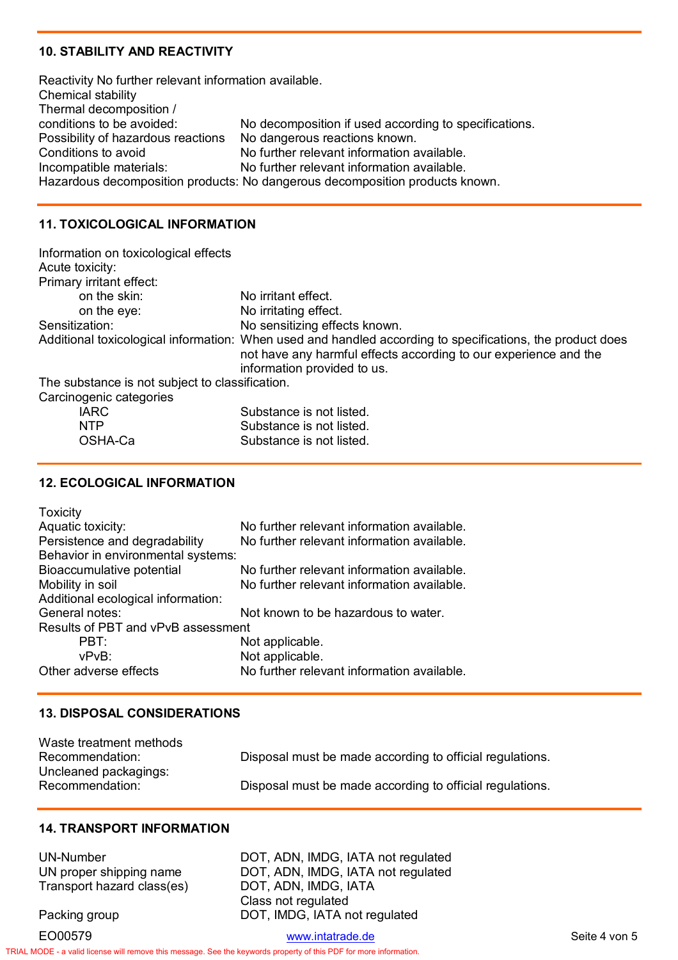#### **10. STABILITY AND REACTIVITY**

Reactivity No further relevant information available. Chemical stability Thermal decomposition /<br>conditions to be avoided: No decomposition if used according to specifications. Possibility of hazardous reactions No dangerous reactions known. Conditions to avoid No further relevant information available. Incompatible materials: No further relevant information available. Hazardous decomposition products: No dangerous decomposition products known.

### **11. TOXICOLOGICAL INFORMATION**

| Information on toxicological effects            |                                                                                                                                                                                                              |
|-------------------------------------------------|--------------------------------------------------------------------------------------------------------------------------------------------------------------------------------------------------------------|
| Acute toxicity:                                 |                                                                                                                                                                                                              |
| Primary irritant effect:                        |                                                                                                                                                                                                              |
| on the skin:                                    | No irritant effect.                                                                                                                                                                                          |
| on the eye:                                     | No irritating effect.                                                                                                                                                                                        |
| Sensitization:                                  | No sensitizing effects known.                                                                                                                                                                                |
|                                                 | Additional toxicological information: When used and handled according to specifications, the product does<br>not have any harmful effects according to our experience and the<br>information provided to us. |
| The substance is not subject to classification. |                                                                                                                                                                                                              |
| Carcinogenic categories                         |                                                                                                                                                                                                              |
| $\mathbf{1} \wedge \mathbf{1} \wedge$           | Onlinkator and the send that all                                                                                                                                                                             |

| IARC.   | Substance is not listed. |
|---------|--------------------------|
| NTP.    | Substance is not listed. |
| OSHA-Ca | Substance is not listed. |

### **12. ECOLOGICAL INFORMATION**

| <b>Toxicity</b>                    |                                            |
|------------------------------------|--------------------------------------------|
| Aquatic toxicity:                  | No further relevant information available. |
| Persistence and degradability      | No further relevant information available. |
| Behavior in environmental systems: |                                            |
| Bioaccumulative potential          | No further relevant information available. |
| Mobility in soil                   | No further relevant information available. |
| Additional ecological information: |                                            |
| General notes:                     | Not known to be hazardous to water.        |
| Results of PBT and vPvB assessment |                                            |
| PBT:                               | Not applicable.                            |
| vPvB:                              | Not applicable.                            |
| Other adverse effects              | No further relevant information available. |
|                                    |                                            |

#### **13. DISPOSAL CONSIDERATIONS**

| Waste treatment methods |                                                          |
|-------------------------|----------------------------------------------------------|
| Recommendation:         | Disposal must be made according to official regulations. |
| Uncleaned packagings:   |                                                          |
| Recommendation:         | Disposal must be made according to official regulations. |

DOT, ADN, IMDG, IATA Class not regulated

### **14. TRANSPORT INFORMATION**

TRIAL MODE − a valid license will remove this message. See the keywords property of this PDF for more information.

| UN-Number                  |
|----------------------------|
| UN proper shipping name    |
| Transport hazard class(es) |

Packing group **DOT, IMDG, IATA not regulated** 

EO00579 www.intatrade.de Seite 4 von 5

DOT, ADN, IMDG, IATA not regulated DOT, ADN, IMDG, IATA not regulated